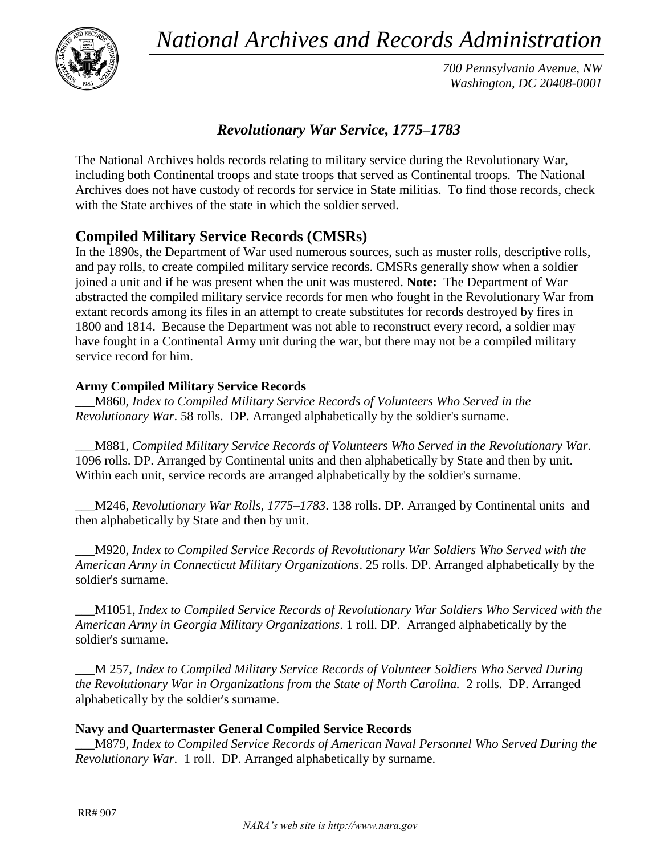*National Archives and Records Administration*



*700 Pennsylvania Avenue, NW Washington, DC 20408-0001*

# *Revolutionary War Service, 1775–1783*

The National Archives holds records relating to military service during the Revolutionary War, including both Continental troops and state troops that served as Continental troops. The National Archives does not have custody of records for service in State militias. To find those records, check with the State archives of the state in which the soldier served.

# **Compiled Military Service Records (CMSRs)**

In the 1890s, the Department of War used numerous sources, such as muster rolls, descriptive rolls, and pay rolls, to create compiled military service records. CMSRs generally show when a soldier joined a unit and if he was present when the unit was mustered. **Note:** The Department of War abstracted the compiled military service records for men who fought in the Revolutionary War from extant records among its files in an attempt to create substitutes for records destroyed by fires in 1800 and 1814. Because the Department was not able to reconstruct every record, a soldier may have fought in a Continental Army unit during the war, but there may not be a compiled military service record for him.

#### **Army Compiled Military Service Records**

\_\_\_M860, *Index to Compiled Military Service Records of Volunteers Who Served in the Revolutionary War*. 58 rolls. DP. Arranged alphabetically by the soldier's surname.

\_\_\_M881, *Compiled Military Service Records of Volunteers Who Served in the Revolutionary War*. 1096 rolls. DP. Arranged by Continental units and then alphabetically by State and then by unit. Within each unit, service records are arranged alphabetically by the soldier's surname.

\_\_\_M246, *Revolutionary War Rolls, 1775–1783*. 138 rolls. DP. Arranged by Continental units and then alphabetically by State and then by unit.

\_\_\_M920, *Index to Compiled Service Records of Revolutionary War Soldiers Who Served with the American Army in Connecticut Military Organizations*. 25 rolls. DP. Arranged alphabetically by the soldier's surname.

\_\_\_M1051, *Index to Compiled Service Records of Revolutionary War Soldiers Who Serviced with the American Army in Georgia Military Organizations*. 1 roll. DP. Arranged alphabetically by the soldier's surname.

\_\_\_M 257, *Index to Compiled Military Service Records of Volunteer Soldiers Who Served During the Revolutionary War in Organizations from the State of North Carolina.* 2 rolls. DP. Arranged alphabetically by the soldier's surname.

#### **Navy and Quartermaster General Compiled Service Records**

\_\_\_M879, *Index to Compiled Service Records of American Naval Personnel Who Served During the Revolutionary War*. 1 roll. DP. Arranged alphabetically by surname.